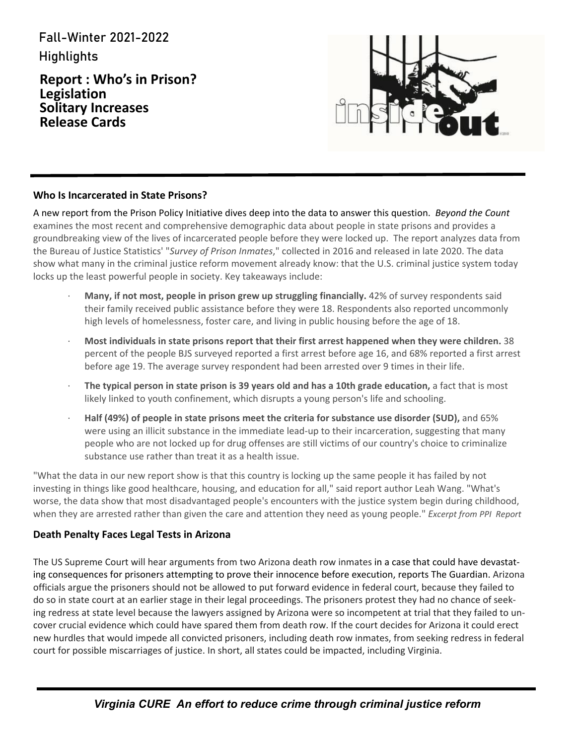Fall-Winter 2021-2022 Highlights

**Report : Who's in Prison? Legislation Solitary Increases Release Cards**



#### **Who Is Incarcerated in State Prisons?**

A new report from the Prison Policy Initiative dives deep into the data to answer this question. *Beyond the Count* examines the most recent and comprehensive demographic data about people in state prisons and provides a groundbreaking view of the lives of incarcerated people before they were locked up. The report analyzes data from the Bureau of Justice Statistics' "*Survey of Prison Inmates*," collected in 2016 and released in late 2020. The data show what many in the criminal justice reform movement already know: that the U.S. criminal justice system today locks up the least powerful people in society. Key takeaways include:

- ∙ **Many, if not most, people in prison grew up struggling financially.** 42% of survey respondents said their family received public assistance before they were 18. Respondents also reported uncommonly high levels of homelessness, foster care, and living in public housing before the age of 18.
- ∙ **Most individuals in state prisons report that their first arrest happened when they were children.** 38 percent of the people BJS surveyed reported a first arrest before age 16, and 68% reported a first arrest before age 19. The average survey respondent had been arrested over 9 times in their life.
- ∙ **The typical person in state prison is 39 years old and has a 10th grade education,** a fact that is most likely linked to youth confinement, which disrupts a young person's life and schooling.
- ∙ **Half (49%) of people in state prisons meet the criteria for substance use disorder (SUD),** and 65% were using an illicit substance in the immediate lead-up to their incarceration, suggesting that many people who are not locked up for drug offenses are still victims of our country's choice to criminalize substance use rather than treat it as a health issue.

"What the data in our new report show is that this country is locking up the same people it has failed by not investing in things like good healthcare, housing, and education for all," said report author Leah Wang. "What's worse, the data show that most disadvantaged people's encounters with the justice system begin during childhood, when they are arrested rather than given the care and attention they need as young people." *Excerpt from PPI Report*

#### **Death Penalty Faces Legal Tests in Arizona**

The US Supreme Court will hear arguments from two Arizona death row inmates in a case that could have devastating consequences for prisoners attempting to prove their innocence before execution, reports The Guardian. Arizona officials argue the prisoners should not be allowed to put forward evidence in federal court, because they failed to do so in state court at an earlier stage in their legal proceedings. The prisoners protest they had no chance of seeking redress at state level because the lawyers assigned by Arizona were so incompetent at trial that they failed to uncover crucial evidence which could have spared them from death row. If the court decides for Arizona it could erect new hurdles that would impede all convicted prisoners, including death row inmates, from seeking redress in federal court for possible miscarriages of justice. In short, all states could be impacted, including Virginia.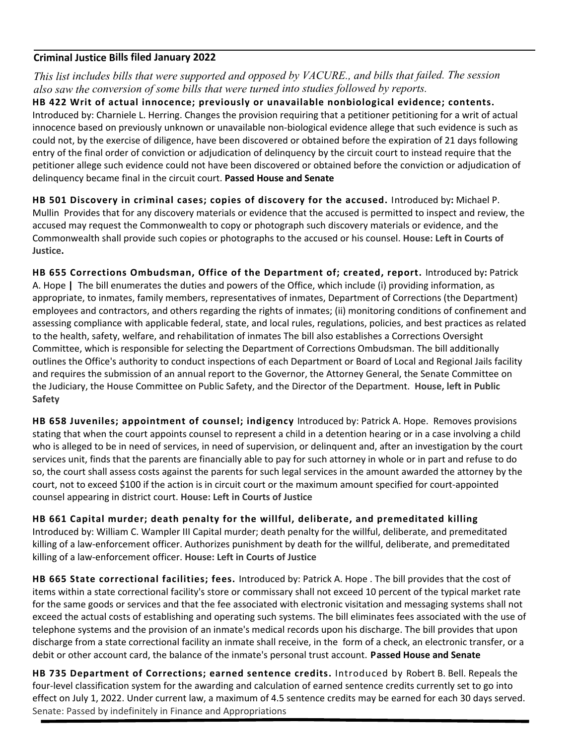#### **Criminal Justice Bills filed January 2022**

*This list includes bills that were supported and opposed by VACURE., and bills that failed. The session also saw the conversion of some bills that were turned into studies followed by reports.*

**HB 422 Writ of actual innocence; previously or unavailable nonbiological evidence; contents.** Introduced by: Charniele L. Herring. Changes the provision requiring that a petitioner petitioning for a writ of actual innocence based on previously unknown or unavailable non-biological evidence allege that such evidence is such as could not, by the exercise of diligence, have been discovered or obtained before the expiration of 21 days following entry of the final order of conviction or adjudication of delinquency by the circuit court to instead require that the petitioner allege such evidence could not have been discovered or obtained before the conviction or adjudication of delinquency became final in the circuit court. **Passed House and Senate**

**HB 501 Discovery in criminal cases; copies of discovery for the accused.** Introduced by**:** Michael P. Mullin Provides that for any discovery materials or evidence that the accused is permitted to inspect and review, the accused may request the Commonwealth to copy or photograph such discovery materials or evidence, and the Commonwealth shall provide such copies or photographs to the accused or his counsel. **House: Left in Courts of Justice.**

**HB 655 Corrections Ombudsman, Office of the Department of; created, report.** Introduced by**:** Patrick A. Hope **|** The bill enumerates the duties and powers of the Office, which include (i) providing information, as appropriate, to inmates, family members, representatives of inmates, Department of Corrections (the Department) employees and contractors, and others regarding the rights of inmates; (ii) monitoring conditions of confinement and assessing compliance with applicable federal, state, and local rules, regulations, policies, and best practices as related to the health, safety, welfare, and rehabilitation of inmates The bill also establishes a Corrections Oversight Committee, which is responsible for selecting the Department of Corrections Ombudsman. The bill additionally outlines the Office's authority to conduct inspections of each Department or Board of Local and Regional Jails facility and requires the submission of an annual report to the Governor, the Attorney General, the Senate Committee on the Judiciary, the House Committee on Public Safety, and the Director of the Department. **House, left in Public Safety**

**HB 658 Juveniles; appointment of counsel; indigency** Introduced by: Patrick A. Hope. Removes provisions stating that when the court appoints counsel to represent a child in a detention hearing or in a case involving a child who is alleged to be in need of services, in need of supervision, or delinquent and, after an investigation by the court services unit, finds that the parents are financially able to pay for such attorney in whole or in part and refuse to do so, the court shall assess costs against the parents for such legal services in the amount awarded the attorney by the court, not to exceed \$100 if the action is in circuit court or the maximum amount specified for court-appointed counsel appearing in district court. **House: Left in Courts of Justice**

**HB 661 Capital murder; death penalty for the willful, deliberate, and premeditated killing** Introduced by: William C. Wampler III Capital murder; death penalty for the willful, deliberate, and premeditated killing of a law-enforcement officer. Authorizes punishment by death for the willful, deliberate, and premeditated killing of a law-enforcement officer. **House: Left in Courts of Justice**

**HB 665 State correctional facilities; fees.** Introduced by: Patrick A. Hope . The bill provides that the cost of items within a state correctional facility's store or commissary shall not exceed 10 percent of the typical market rate for the same goods or services and that the fee associated with electronic visitation and messaging systems shall not exceed the actual costs of establishing and operating such systems. The bill eliminates fees associated with the use of telephone systems and the provision of an inmate's medical records upon his discharge. The bill provides that upon discharge from a state correctional facility an inmate shall receive, in the form of a check, an electronic transfer, or a debit or other account card, the balance of the inmate's personal trust account. **Passed House and Senate**

**HB 735 Department of Corrections; earned sentence credits.** Introduced by Robert B. Bell. Repeals the four-level classification system for the awarding and calculation of earned sentence credits currently set to go into effect on July 1, 2022. Under current law, a maximum of 4.5 sentence credits may be earned for each 30 days served. Senate: Passed by indefinitely in Finance and Appropriations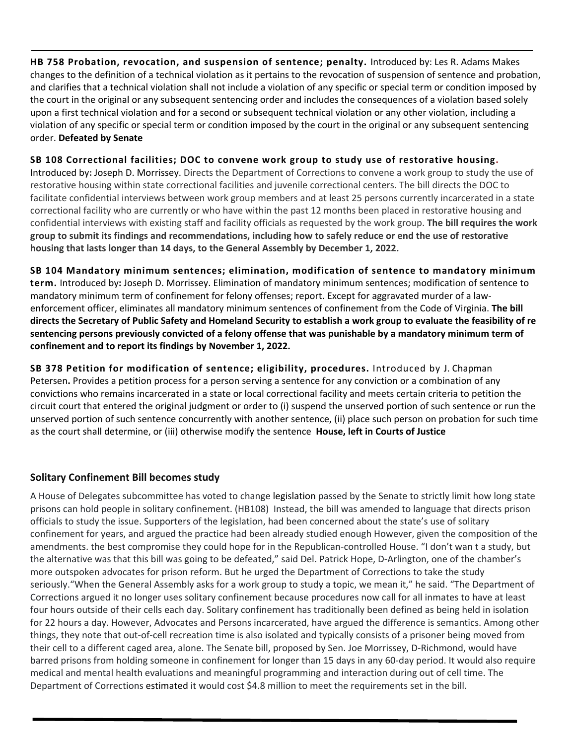**HB 758 Probation, revocation, and suspension of sentence; penalty.** Introduced by: Les R. Adams Makes changes to the definition of a technical violation as it pertains to the revocation of suspension of sentence and probation, and clarifies that a technical violation shall not include a violation of any specific or special term or condition imposed by the court in the original or any subsequent sentencing order and includes the consequences of a violation based solely upon a first technical violation and for a second or subsequent technical violation or any other violation, including a violation of any specific or special term or condition imposed by the court in the original or any subsequent sentencing order. **Defeated by Senate**

**SB 108 Correctional facilities; DOC to convene work group to study use of restorative housing.**

Introduced by**:** Joseph D. Morrissey. Directs the Department of Corrections to convene a work group to study the use of restorative housing within state correctional facilities and juvenile correctional centers. The bill directs the DOC to facilitate confidential interviews between work group members and at least 25 persons currently incarcerated in a state correctional facility who are currently or who have within the past 12 months been placed in restorative housing and confidential interviews with existing staff and facility officials as requested by the work group. **The bill requires the work group to submit its findings and recommendations, including how to safely reduce or end the use of restorative housing that lasts longer than 14 days, to the General Assembly by December 1, 2022.**

**SB 104 Mandatory minimum sentences; elimination, modification of sentence to mandatory minimum term.** Introduced by**:** Joseph D. Morrissey. Elimination of mandatory minimum sentences; modification of sentence to mandatory minimum term of confinement for felony offenses; report. Except for aggravated murder of a lawenforcement officer, eliminates all mandatory minimum sentences of confinement from the Code of Virginia. **The bill directs the Secretary of Public Safety and Homeland Security to establish a work group to evaluate the feasibility of re sentencing persons previously convicted of a felony offense that was punishable by a mandatory minimum term of confinement and to report its findings by November 1, 2022.**

**SB 378 Petition for modification of sentence; eligibility, procedures.** Introduced by J. Chapman Petersen**.** Provides a petition process for a person serving a sentence for any conviction or a combination of any convictions who remains incarcerated in a state or local correctional facility and meets certain criteria to petition the circuit court that entered the original judgment or order to (i) suspend the unserved portion of such sentence or run the unserved portion of such sentence concurrently with another sentence, (ii) place such person on probation for such time as the court shall determine, or (iii) otherwise modify the sentence **House, left in Courts of Justice**

#### **Solitary Confinement Bill becomes study**

A House of Delegates subcommittee has voted to change legislation passed by the Senate to strictly limit how long state prisons can hold people in solitary confinement. (HB108) Instead, the bill was amended to language that directs prison officials to study the issue. Supporters of the legislation, had been concerned about the state's use of solitary confinement for years, and argued the practice had been already studied enough However, given the composition of the amendments. the best compromise they could hope for in the Republican-controlled House. "I don't wan t a study, but the alternative was that this bill was going to be defeated," said Del. Patrick Hope, D-Arlington, one of the chamber's more outspoken advocates for prison reform. But he urged the Department of Corrections to take the study seriously."When the General Assembly asks for a work group to study a topic, we mean it," he said. "The Department of Corrections argued it no longer uses solitary confinement because procedures now call for all inmates to have at least four hours outside of their cells each day. Solitary confinement has traditionally been defined as being held in isolation for 22 hours a day. However, Advocates and Persons incarcerated, have argued the difference is semantics. Among other things, they note that out-of-cell recreation time is also isolated and typically consists of a prisoner being moved from their cell to a different caged area, alone. The Senate bill, proposed by Sen. Joe Morrissey, D-Richmond, would have barred prisons from holding someone in confinement for longer than 15 days in any 60-day period. It would also require medical and mental health evaluations and meaningful programming and interaction during out of cell time. The Department of Corrections estimated it would cost \$4.8 million to meet the requirements set in the bill.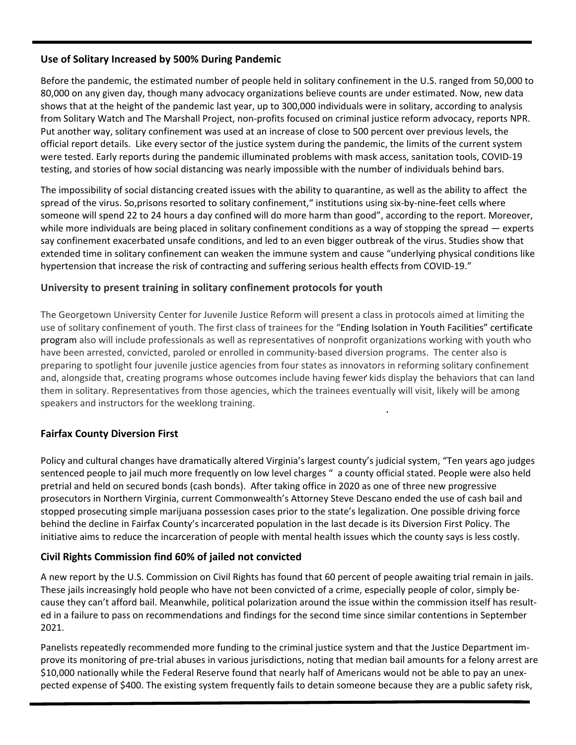#### **Use of Solitary Increased by 500% During Pandemic**

Before the pandemic, the estimated number of people held in solitary confinement in the U.S. ranged from 50,000 to 80,000 on any given day, though many advocacy organizations believe counts are under estimated. Now, new data shows that at the height of the pandemic last year, up to 300,000 individuals were in solitary, according to analysis from Solitary Watch and The Marshall Project, non-profits focused on criminal justice reform advocacy, reports NPR. Put another way, solitary confinement was used at an increase of close to 500 percent over previous levels, the official report details. Like every sector of the justice system during the pandemic, the limits of the current system were tested. Early reports during the pandemic illuminated problems with mask access, sanitation tools, COVID-19 testing, and stories of how social distancing was nearly impossible with the number of individuals behind bars.

The impossibility of social distancing created issues with the ability to quarantine, as well as the ability to affect the spread of the virus. So,prisons resorted to solitary confinement," institutions using six-by-nine-feet cells where someone will spend 22 to 24 hours a day confined will do more harm than good", according to the report. Moreover, while more individuals are being placed in solitary confinement conditions as a way of stopping the spread  $-$  experts say confinement exacerbated unsafe conditions, and led to an even bigger outbreak of the virus. Studies show that extended time in solitary confinement can weaken the immune system and cause "underlying physical conditions like hypertension that increase the risk of contracting and suffering serious health effects from COVID-19."

#### **University to present training in solitary confinement protocols for youth**

The Georgetown University Center for Juvenile Justice Reform will present a class in protocols aimed at limiting the use of solitary confinement of youth. The first class of trainees for the "Ending Isolation in Youth Facilities" certificate program also will include professionals as well as representatives of nonprofit organizations working with youth who have been arrested, convicted, paroled or enrolled in community-based diversion programs. The center also is preparing to spotlight four juvenile justice agencies from four states as innovators in reforming solitary confinement and, alongside that, creating programs whose outcomes include having fewer kids display the behaviors that can land them in solitary. Representatives from those agencies, which the trainees eventually will visit, likely will be among speakers and instructors for the weeklong training.

## **Fairfax County Diversion First**

Policy and cultural changes have dramatically altered Virginia's largest county's judicial system, "Ten years ago judges sentenced people to jail much more frequently on low level charges " a county official stated. People were also held pretrial and held on secured bonds (cash bonds). After taking office in 2020 as one of three new progressive prosecutors in Northern Virginia, current Commonwealth's Attorney Steve Descano ended the use of cash bail and stopped prosecuting simple marijuana possession cases prior to the state's legalization. One possible driving force behind the decline in Fairfax County's incarcerated population in the last decade is its Diversion First Policy. The initiative aims to reduce the incarceration of people with mental health issues which the county says is less costly.

## **Civil Rights Commission find 60% of jailed not convicted**

A new report by the U.S. Commission on Civil Rights has found that 60 percent of people awaiting trial remain in jails. These jails increasingly hold people who have not been convicted of a crime, especially people of color, simply because they can't afford bail. Meanwhile, political polarization around the issue within the commission itself has resulted in a failure to pass on recommendations and findings for the second time since similar contentions in September 2021.

Panelists repeatedly recommended more funding to the criminal justice system and that the Justice Department improve its monitoring of pre-trial abuses in various jurisdictions, noting that median bail amounts for a felony arrest are \$10,000 nationally while the Federal Reserve found that nearly half of Americans would not be able to pay an unexpected expense of \$400. The existing system frequently fails to detain someone because they are a public safety risk,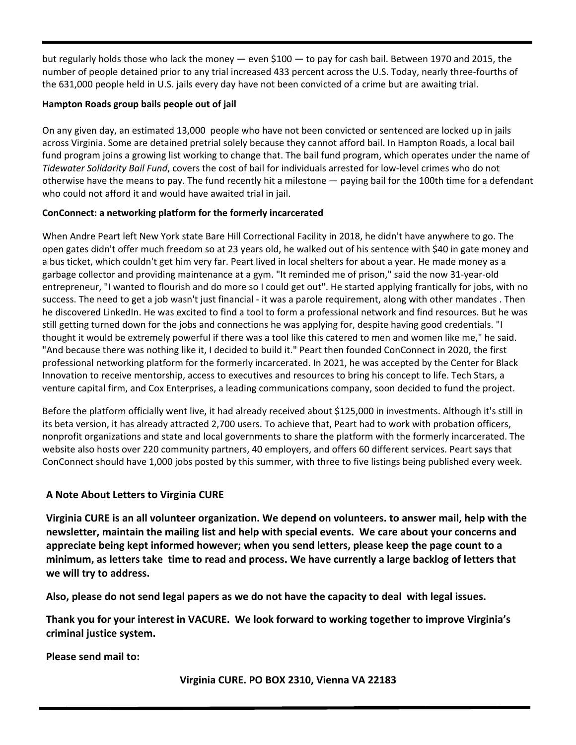but regularly holds those who lack the money — even \$100 — to pay for cash bail. Between 1970 and 2015, the number of people detained prior to any trial increased 433 percent across the U.S. Today, nearly three-fourths of the 631,000 people held in U.S. jails every day have not been convicted of a crime but are awaiting trial.

#### **Hampton Roads group bails people out of jail**

On any given day, an estimated 13,000 people who have not been convicted or sentenced are locked up in jails across Virginia. Some are detained pretrial solely because they cannot afford bail. In Hampton Roads, a local bail fund program joins a growing list working to change that. The bail fund program, which operates under the name of *Tidewater Solidarity Bail Fund*, covers the cost of bail for individuals arrested for low-level crimes who do not otherwise have the means to pay. The fund recently hit a milestone — paying bail for the 100th time for a defendant who could not afford it and would have awaited trial in jail.

#### **ConConnect: a networking platform for the formerly incarcerated**

When Andre Peart left New York state Bare Hill Correctional Facility in 2018, he didn't have anywhere to go. The open gates didn't offer much freedom so at 23 years old, he walked out of his sentence with \$40 in gate money and a bus ticket, which couldn't get him very far. Peart lived in local shelters for about a year. He made money as a garbage collector and providing maintenance at a gym. "It reminded me of prison," said the now 31-year-old entrepreneur, "I wanted to flourish and do more so I could get out". He started applying frantically for jobs, with no success. The need to get a job wasn't just financial - it was a parole requirement, along with other mandates . Then he discovered LinkedIn. He was excited to find a tool to form a professional network and find resources. But he was still getting turned down for the jobs and connections he was applying for, despite having good credentials. "I thought it would be extremely powerful if there was a tool like this catered to men and women like me," he said. "And because there was nothing like it, I decided to build it." Peart then founded ConConnect in 2020, the first professional networking platform for the formerly incarcerated. In 2021, he was accepted by the Center for Black Innovation to receive mentorship, access to executives and resources to bring his concept to life. Tech Stars, a venture capital firm, and Cox Enterprises, a leading communications company, soon decided to fund the project.

Before the platform officially went live, it had already received about \$125,000 in investments. Although it's still in its beta version, it has already attracted 2,700 users. To achieve that, Peart had to work with probation officers, nonprofit organizations and state and local governments to share the platform with the formerly incarcerated. The website also hosts over 220 community partners, 40 employers, and offers 60 different services. Peart says that ConConnect should have 1,000 jobs posted by this summer, with three to five listings being published every week.

#### **A Note About Letters to Virginia CURE**

**Virginia CURE is an all volunteer organization. We depend on volunteers. to answer mail, help with the newsletter, maintain the mailing list and help with special events. We care about your concerns and appreciate being kept informed however; when you send letters, please keep the page count to a minimum, as letters take time to read and process. We have currently a large backlog of letters that we will try to address.**

**Also, please do not send legal papers as we do not have the capacity to deal with legal issues.**

**Thank you for your interest in VACURE. We look forward to working together to improve Virginia's criminal justice system.**

**Please send mail to:**

 **Virginia CURE. PO BOX 2310, Vienna VA 22183**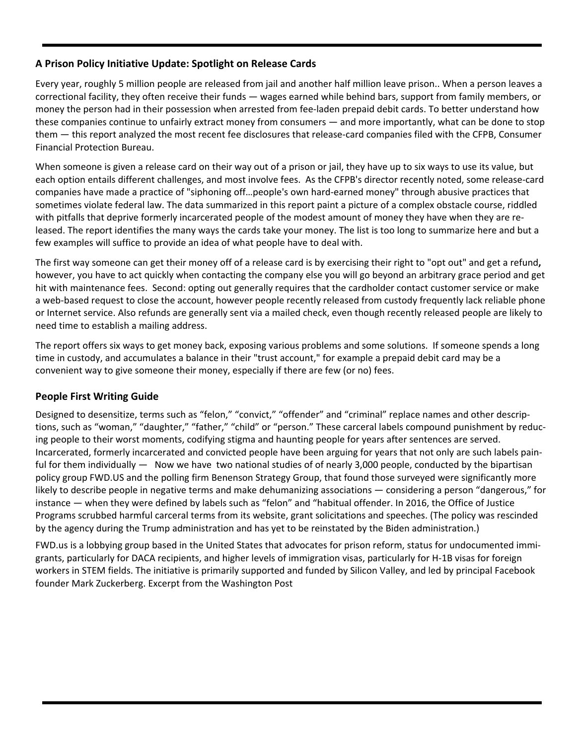#### **A Prison Policy Initiative Update: Spotlight on Release Cards**

Every year, roughly 5 million people are released from jail and another half million leave prison.. When a person leaves a correctional facility, they often receive their funds — wages earned while behind bars, support from family members, or money the person had in their possession when arrested from fee-laden prepaid debit cards. To better understand how these companies continue to unfairly extract money from consumers — and more importantly, what can be done to stop them — this report analyzed the most recent fee disclosures that release-card companies filed with the CFPB, Consumer Financial Protection Bureau.

When someone is given a release card on their way out of a prison or jail, they have up to six ways to use its value, but each option entails different challenges, and most involve fees. As the CFPB's director recently noted, some release-card companies have made a practice of "siphoning off…people's own hard-earned money" through abusive practices that sometimes violate federal law. The data summarized in this report paint a picture of a complex obstacle course, riddled with pitfalls that deprive formerly incarcerated people of the modest amount of money they have when they are released. The report identifies the many ways the cards take your money. The list is too long to summarize here and but a few examples will suffice to provide an idea of what people have to deal with.

The first way someone can get their money off of a release card is by exercising their right to "opt out" and get a refund**,** however, you have to act quickly when contacting the company else you will go beyond an arbitrary grace period and get hit with maintenance fees. Second: opting out generally requires that the cardholder contact customer service or make a web-based request to close the account, however people recently released from custody frequently lack reliable phone or Internet service. Also refunds are generally sent via a mailed check, even though recently released people are likely to need time to establish a mailing address.

The report offers six ways to get money back, exposing various problems and some solutions. If someone spends a long time in custody, and accumulates a balance in their "trust account," for example a prepaid debit card may be a convenient way to give someone their money, especially if there are few (or no) fees.

## **People First Writing Guide**

Designed to desensitize, terms such as "felon," "convict," "offender" and "criminal" replace names and other descriptions, such as "woman," "daughter," "father," "child" or "person." These carceral labels compound punishment by reducing people to their worst moments, codifying stigma and haunting people for years after sentences are served. Incarcerated, formerly incarcerated and convicted people have been arguing for years that not only are such labels painful for them individually — Now we have two national studies of of nearly 3,000 people, conducted by the bipartisan policy group FWD.US and the polling firm Benenson Strategy Group, that found those surveyed were significantly more likely to describe people in negative terms and make dehumanizing associations — considering a person "dangerous," for instance — when they were defined by labels such as "felon" and "habitual offender. In 2016, the Office of Justice Programs scrubbed harmful carceral terms from its website, grant solicitations and speeches. (The policy was rescinded by the agency during the Trump administration and has yet to be reinstated by the Biden administration.)

FWD.us is a lobbying group based in the United States that advocates for prison reform, status for undocumented immigrants, particularly for DACA recipients, and higher levels of immigration visas, particularly for H-1B visas for foreign workers in STEM fields. The initiative is primarily supported and funded by Silicon Valley, and led by principal Facebook founder Mark Zuckerberg. Excerpt from the Washington Post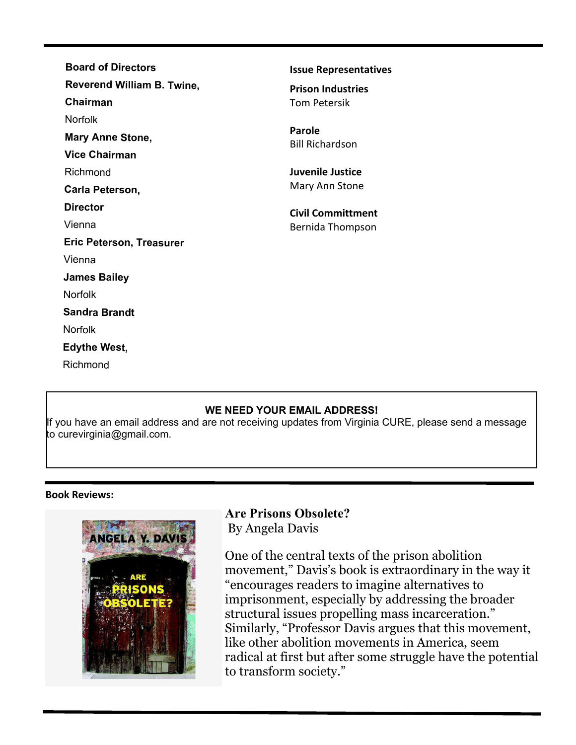| <b>Board of Directors</b>         | <b>Issue Representatives</b>     |
|-----------------------------------|----------------------------------|
| <b>Reverend William B. Twine,</b> | <b>Prison Industries</b>         |
| Chairman                          | <b>Tom Petersik</b>              |
| <b>Norfolk</b>                    |                                  |
| <b>Mary Anne Stone,</b>           | Parole<br><b>Bill Richardson</b> |
| <b>Vice Chairman</b>              |                                  |
| Richmond                          | <b>Juvenile Justice</b>          |
| Carla Peterson,                   | Mary Ann Stone                   |
| <b>Director</b>                   | <b>Civil Committment</b>         |
| Vienna                            | Bernida Thompson                 |
| <b>Eric Peterson, Treasurer</b>   |                                  |
| Vienna                            |                                  |
| <b>James Bailey</b>               |                                  |
| <b>Norfolk</b>                    |                                  |
| <b>Sandra Brandt</b>              |                                  |
| <b>Norfolk</b>                    |                                  |
| <b>Edythe West,</b>               |                                  |
| Richmond                          |                                  |
|                                   |                                  |

#### **WE NEED YOUR EMAIL ADDRESS!**

If you have an email address and are not receiving updates from Virginia CURE, please send a message to curevirginia@gmail.com.

#### **Book Reviews:**



## **Are Prisons Obsolete?** By Angela Davis

One of the central texts of the prison abolition movement," Davis's book is extraordinary in the way it "encourages readers to imagine alternatives to imprisonment, especially by addressing the broader structural issues propelling mass incarceration." Similarly, "Professor Davis argues that this movement, like other abolition movements in America, seem radical at first but after some struggle have the potential to transform society."